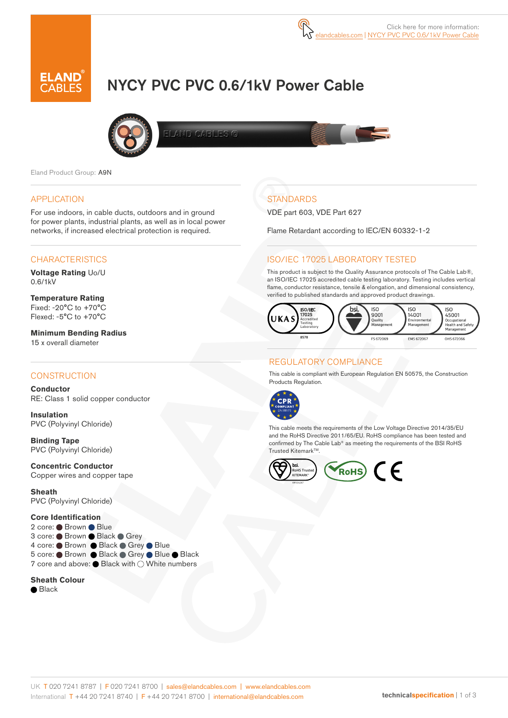# NYCY PVC PVC 0.6/1kV Power Cable



LAND CABLES O

Eland Product Group: A9N

#### APPLICATION

For use indoors, in cable ducts, outdoors and in ground for power plants, industrial plants, as well as in local power networks, if increased electrical protection is required.

#### CHARACTERISTICS

**Voltage Rating** Uo/U 0.6/1kV

**Temperature Rating** Fixed: -20°C to +70°C Flexed: -5°C to +70°C

**Minimum Bending Radius**  15 x overall diameter

#### **CONSTRUCTION**

**Conductor** RE: Class 1 solid copper conductor

**Insulation** PVC (Polyvinyl Chloride)

**Binding Tape** PVC (Polyvinyl Chloride)

**Concentric Conductor** Copper wires and copper tape

**Sheath** PVC (Polyvinyl Chloride)

#### **Core Identification**

2 core: ● Brown ● Blue 3 core: Brown Black Grey 4 core: ● Brown ● Black ● Grey ● Blue 5 core: ● Brown ● Black ● Grey ● Blue ● Black 7 core and above: Black with  $\bigcirc$  White numbers

#### **Sheath Colour**

**■**Black

# **STANDARDS**

VDE part 603, VDE Part 627

Flame Retardant according to IEC/EN 60332-1-2

#### ISO/IEC 17025 LABORATORY TESTED

This product is subject to the Quality Assurance protocols of The Cable Lab®, an ISO/IEC 17025 accredited cable testing laboratory. Testing includes vertical flame, conductor resistance, tensile & elongation, and dimensional consistency, verified to published standards and approved product drawings.



### REGULATORY COMPLIANCE

This cable is compliant with European Regulation EN 50575, the Construction Products Regulation.



This cable meets the requirements of the Low Voltage Directive 2014/35/EU and the RoHS Directive 2011/65/EU. RoHS compliance has been tested and confirmed by The Cable Lab® as meeting the requirements of the BSI RoHS Trusted Kitemark™.

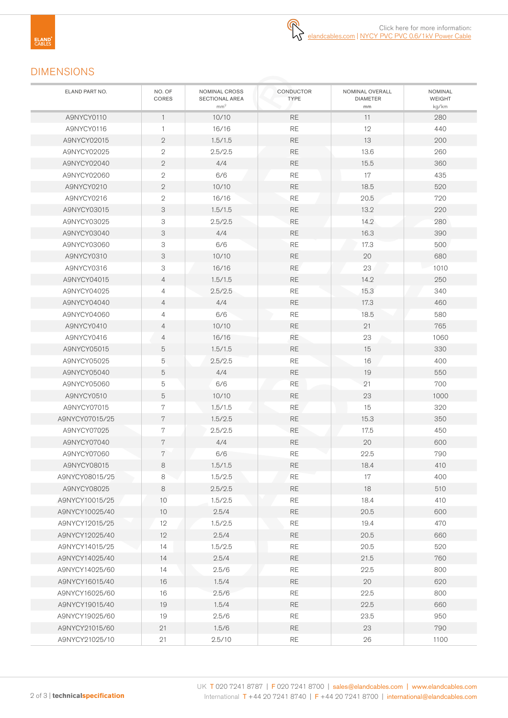# DIMENSIONS

| ELAND PART NO. | NO. OF<br>CORES  | NOMINAL CROSS<br>SECTIONAL AREA<br>mm <sup>2</sup> | CONDUCTOR<br><b>TYPE</b> | NOMINAL OVERALL<br><b>DIAMETER</b><br>mm | NOMINAL<br><b>WEIGHT</b><br>kg/km |
|----------------|------------------|----------------------------------------------------|--------------------------|------------------------------------------|-----------------------------------|
| A9NYCY0110     | $\mathbf{1}$     | 10/10                                              | <b>RE</b>                | 11                                       | 280                               |
| A9NYCY0116     | $\mathbf{1}$     | 16/16                                              | <b>RE</b>                | 12                                       | 440                               |
| A9NYCY02015    | $\mathbf{2}$     | 1.5/1.5                                            | <b>RE</b>                | 13                                       | 200                               |
| A9NYCY02025    | $\sqrt{2}$       | 2.5/2.5                                            | $\mathsf{RE}$            | 13.6                                     | 260                               |
| A9NYCY02040    | $\mathbf{2}$     | 4/4                                                | <b>RE</b>                | 15.5                                     | 360                               |
| A9NYCY02060    | $\mathbf{2}$     | 6/6                                                | <b>RE</b>                | 17                                       | 435                               |
| A9NYCY0210     | $\mathbf{2}$     | 10/10                                              | <b>RE</b>                | 18.5                                     | 520                               |
| A9NYCY0216     | $\sqrt{2}$       | 16/16                                              | $\mathsf{RE}$            | 20.5                                     | 720                               |
| A9NYCY03015    | 3                | 1.5/1.5                                            | <b>RE</b>                | 13.2                                     | 220                               |
| A9NYCY03025    | 3                | 2.5/2.5                                            | $\mathsf{RE}$            | 14.2                                     | 280                               |
| A9NYCY03040    | 3                | 4/4                                                | <b>RE</b>                | 16.3                                     | 390                               |
| A9NYCY03060    | 3                | 6/6                                                | RE                       | 17.3                                     | 500                               |
| A9NYCY0310     | 3                | 10/10                                              | <b>RE</b>                | 20                                       | 680                               |
| A9NYCY0316     | 3                | 16/16                                              | <b>RE</b>                | 23                                       | 1010                              |
| A9NYCY04015    | 4                | 1.5/1.5                                            | $\mathsf{RE}$            | 14.2                                     | 250                               |
| A9NYCY04025    | $\overline{4}$   | 2.5/2.5                                            | RE                       | 15.3                                     | 340                               |
| A9NYCY04040    | 4                | 4/4                                                | $\mathsf{RE}$            | 17.3                                     | 460                               |
| A9NYCY04060    | $\overline{4}$   | 6/6                                                | RE                       | 18.5                                     | 580                               |
| A9NYCY0410     | $\overline{4}$   | 10/10                                              | $\mathsf{RE}$            | 21                                       | 765                               |
| A9NYCY0416     | $\overline{4}$   | 16/16                                              | <b>RE</b>                | 23                                       | 1060                              |
| A9NYCY05015    | 5                | 1.5/1.5                                            | <b>RE</b>                | 15                                       | 330                               |
| A9NYCY05025    | 5                | 2.5/2.5                                            | <b>RE</b>                | 16                                       | 400                               |
| A9NYCY05040    | 5                | 4/4                                                | <b>RE</b>                | 19                                       | 550                               |
| A9NYCY05060    | 5                | 6/6                                                | RE                       | 21                                       | 700                               |
| A9NYCY0510     | 5                | 10/10                                              | <b>RE</b>                | 23                                       | 1000                              |
| A9NYCY07015    | 7                | 1.5/1.5                                            | RE                       | 15                                       | 320                               |
| A9NYCY07015/25 | $7\phantom{.}$   | 1.5/2.5                                            | <b>RE</b>                | 15.3                                     | 350                               |
| A9NYCY07025    | 7                | 2.5/2.5                                            | $\mathsf{RE}$            | 17.5                                     | 450                               |
| A9NYCY07040    | $\sqrt{7}$       | 4/4                                                | <b>RE</b>                | 20                                       | 600                               |
| A9NYCY07060    | $\boldsymbol{7}$ | 6/6                                                | RE                       | 22.5                                     | 790                               |
| A9NYCY08015    | 8                | 1.5/1.5                                            | <b>RE</b>                | 18.4                                     | 410                               |
| A9NYCY08015/25 | 8                | 1.5/2.5                                            | <b>RE</b>                | 17                                       | 400                               |
| A9NYCY08025    | 8                | 2.5/2.5                                            | <b>RE</b>                | 18                                       | 510                               |
| A9NYCY10015/25 | 10               | 1.5/2.5                                            | RE                       | 18.4                                     | 410                               |
| A9NYCY10025/40 | 10               | 2.5/4                                              | <b>RE</b>                | 20.5                                     | 600                               |
| A9NYCY12015/25 | 12               | 1.5/2.5                                            | RE                       | 19.4                                     | 470                               |
| A9NYCY12025/40 | 12               | 2.5/4                                              | <b>RE</b>                | 20.5                                     | 660                               |
| A9NYCY14015/25 | 14               | 1.5/2.5                                            | RE                       | 20.5                                     | 520                               |
| A9NYCY14025/40 | 14               | 2.5/4                                              | <b>RE</b>                | 21.5                                     | 760                               |
| A9NYCY14025/60 | 14               | 2.5/6                                              | RE                       | 22.5                                     | 800                               |
| A9NYCY16015/40 | 16               | 1.5/4                                              | <b>RE</b>                | 20                                       | 620                               |
| A9NYCY16025/60 | 16               | 2.5/6                                              | RE                       | 22.5                                     | 800                               |
| A9NYCY19015/40 | 19               | 1.5/4                                              | RE                       | 22.5                                     | 660                               |
| A9NYCY19025/60 | 19               | 2.5/6                                              | RE                       | 23.5                                     | 950                               |
| A9NYCY21015/60 | 21               | 1.5/6                                              | $\mathsf{RE}$            | 23                                       | 790                               |
| A9NYCY21025/10 | 21               | 2.5/10                                             | RE                       | 26                                       | 1100                              |